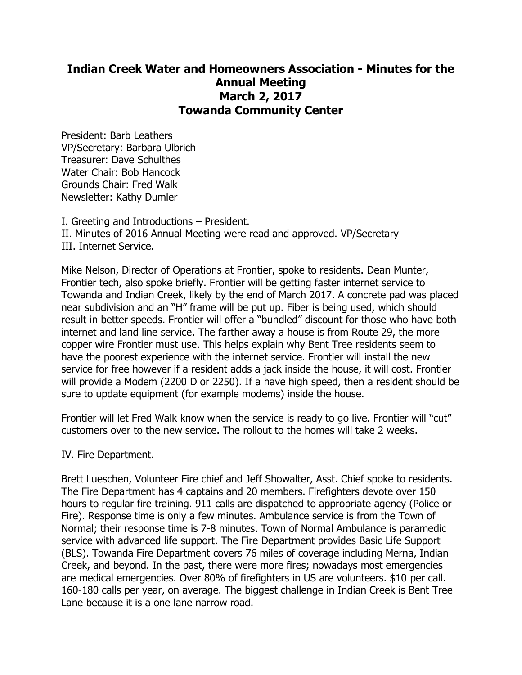## **Indian Creek Water and Homeowners Association - Minutes for the Annual Meeting March 2, 2017 Towanda Community Center**

President: Barb Leathers VP/Secretary: Barbara Ulbrich Treasurer: Dave Schulthes Water Chair: Bob Hancock Grounds Chair: Fred Walk Newsletter: Kathy Dumler

I. Greeting and Introductions – President. II. Minutes of 2016 Annual Meeting were read and approved. VP/Secretary III. Internet Service.

Mike Nelson, Director of Operations at Frontier, spoke to residents. Dean Munter, Frontier tech, also spoke briefly. Frontier will be getting faster internet service to Towanda and Indian Creek, likely by the end of March 2017. A concrete pad was placed near subdivision and an "H" frame will be put up. Fiber is being used, which should result in better speeds. Frontier will offer a "bundled" discount for those who have both internet and land line service. The farther away a house is from Route 29, the more copper wire Frontier must use. This helps explain why Bent Tree residents seem to have the poorest experience with the internet service. Frontier will install the new service for free however if a resident adds a jack inside the house, it will cost. Frontier will provide a Modem (2200 D or 2250). If a have high speed, then a resident should be sure to update equipment (for example modems) inside the house.

Frontier will let Fred Walk know when the service is ready to go live. Frontier will "cut" customers over to the new service. The rollout to the homes will take 2 weeks.

IV. Fire Department.

Brett Lueschen, Volunteer Fire chief and Jeff Showalter, Asst. Chief spoke to residents. The Fire Department has 4 captains and 20 members. Firefighters devote over 150 hours to regular fire training. 911 calls are dispatched to appropriate agency (Police or Fire). Response time is only a few minutes. Ambulance service is from the Town of Normal; their response time is 7-8 minutes. Town of Normal Ambulance is paramedic service with advanced life support. The Fire Department provides Basic Life Support (BLS). Towanda Fire Department covers 76 miles of coverage including Merna, Indian Creek, and beyond. In the past, there were more fires; nowadays most emergencies are medical emergencies. Over 80% of firefighters in US are volunteers. \$10 per call. 160-180 calls per year, on average. The biggest challenge in Indian Creek is Bent Tree Lane because it is a one lane narrow road.